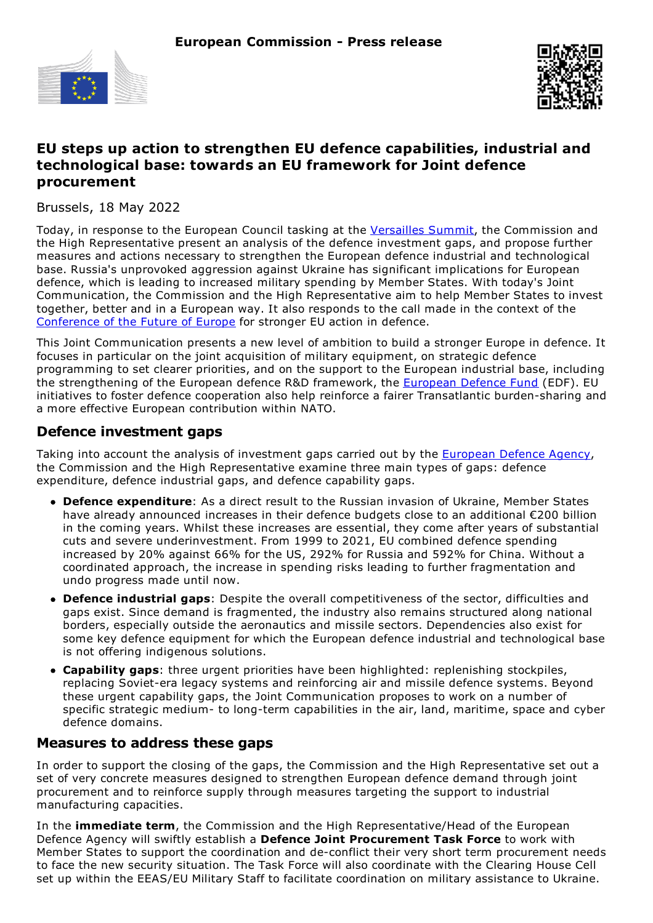



# **EU steps up action to strengthen EU defence capabilities, industrial and technological base: towards an EU framework for Joint defence procurement**

Brussels, 18 May 2022

Today, in response to the European Council tasking at the [Versailles](https://www.consilium.europa.eu/en/press/press-releases/2022/03/11/the-versailles-declaration-10-11-03-2022/?utm_source=dsms-auto&utm_medium=email&utm_campaign=The%20Versailles%20declaration%252C%2010%20and%2011%20March%202022) Summit, the Commission and the High Representative present an analysis of the defence investment gaps, and propose further measures and actions necessary to strengthen the European defence industrial and technological base. Russia's unprovoked aggression against Ukraine has significant implications for European defence, which is leading to increased military spending by Member States. With today's Joint Communication, the Commission and the High Representative aim to help Member States to invest together, better and in a European way. It also responds to the call made in the context of the [Conference](https://futureu.europa.eu/?locale=en) of the Future of Europe for stronger EU action in defence.

This Joint Communication presents a new level of ambition to build a stronger Europe in defence. It focuses in particular on the joint acquisition of military equipment, on strategic defence programming to set clearer priorities, and on the support to the European industrial base, including the strengthening of the [European](https://ec.europa.eu/defence-industry-space/eu-defence-industry/european-defence-fund-edf_en) defence R&D framework, the European Defence Fund (EDF). EU initiatives to foster defence cooperation also help reinforce a fairer Transatlantic burden-sharing and a more effective European contribution within NATO.

#### **Defence investment gaps**

Taking into account the analysis of investment gaps carried out by the [European](https://eda.europa.eu/) Defence Agency, the Commission and the High Representative examine three main types of gaps: defence expenditure, defence industrial gaps, and defence capability gaps.

- **Defence expenditure**: As a direct result to the Russian invasion of Ukraine, Member States have already announced increases in their defence budgets close to an additional €200 billion in the coming years. Whilst these increases are essential, they come after years of substantial cuts and severe underinvestment. From 1999 to 2021, EU combined defence spending increased by 20% against 66% for the US, 292% for Russia and 592% for China. Without a coordinated approach, the increase in spending risks leading to further fragmentation and undo progress made until now.
- **Defence industrial gaps**: Despite the overall competitiveness of the sector, difficulties and gaps exist. Since demand is fragmented, the industry also remains structured along national borders, especially outside the aeronautics and missile sectors. Dependencies also exist for some key defence equipment for which the European defence industrial and technological base is not offering indigenous solutions.
- **Capability gaps**: three urgent priorities have been highlighted: replenishing stockpiles, replacing Soviet-era legacy systems and reinforcing air and missile defence systems. Beyond these urgent capability gaps, the Joint Communication proposes to work on a number of specific strategic medium- to long-term capabilities in the air, land, maritime, space and cyber defence domains.

#### **Measures to address these gaps**

In order to support the closing of the gaps, the Commission and the High Representative set out a set of very concrete measures designed to strengthen European defence demand through joint procurement and to reinforce supply through measures targeting the support to industrial manufacturing capacities.

In the **immediate term**, the Commission and the High Representative/Head of the European Defence Agency will swiftly establish a **Defence Joint Procurement Task Force** to work with Member States to support the coordination and de-conflict their very short term procurement needs to face the new security situation. The Task Force will also coordinate with the Clearing House Cell set up within the EEAS/EU Military Staff to facilitate coordination on military assistance to Ukraine.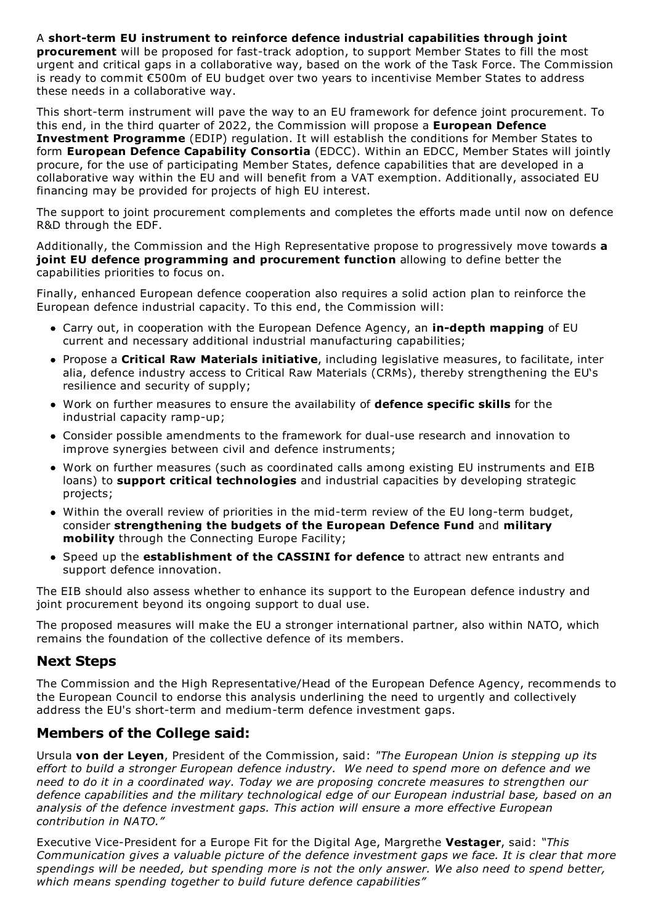A **short-term EU instrument to reinforce defence industrial capabilities through joint procurement** will be proposed for fast-track adoption, to support Member States to fill the most urgent and critical gaps in a collaborative way, based on the work of the Task Force. The Commission is ready to commit €500m of EU budget over two years to incentivise Member States to address these needs in a collaborative way.

This short-term instrument will pave the way to an EU framework for defence joint procurement. To this end, in the third quarter of 2022, the Commission will propose a **European Defence Investment Programme** (EDIP) regulation. It will establish the conditions for Member States to form **European Defence Capability Consortia** (EDCC). Within an EDCC, Member States will jointly procure, for the use of participating Member States, defence capabilities that are developed in a collaborative way within the EU and will benefit from a VAT exemption. Additionally, associated EU financing may be provided for projects of high EU interest.

The support to joint procurement complements and completes the efforts made until now on defence R&D through the EDF.

Additionally, the Commission and the High Representative propose to progressively move towards **a joint EU defence programming and procurement function** allowing to define better the capabilities priorities to focus on.

Finally, enhanced European defence cooperation also requires a solid action plan to reinforce the European defence industrial capacity. To this end, the Commission will:

- Carry out, in cooperation with the European Defence Agency, an **in-depth mapping** of EU current and necessary additional industrial manufacturing capabilities;
- Propose a **Critical Raw Materials initiative**, including legislative measures, to facilitate, inter alia, defence industry access to Critical Raw Materials (CRMs), thereby strengthening the EU's resilience and security of supply;
- Work on further measures to ensure the availability of **defence specific skills** for the industrial capacity ramp-up;
- Consider possible amendments to the framework for dual-use research and innovation to improve synergies between civil and defence instruments;
- Work on further measures (such as coordinated calls among existing EU instruments and EIB loans) to **support critical technologies** and industrial capacities by developing strategic projects;
- Within the overall review of priorities in the mid-term review of the EU long-term budget, consider **strengthening the budgets of the European Defence Fund** and **military mobility** through the Connecting Europe Facility;
- Speed up the **establishment of the CASSINI for defence** to attract new entrants and support defence innovation.

The EIB should also assess whether to enhance its support to the European defence industry and joint procurement beyond its ongoing support to dual use.

The proposed measures will make the EU a stronger international partner, also within NATO, which remains the foundation of the collective defence of its members.

## **Next Steps**

The Commission and the High Representative/Head of the European Defence Agency, recommends to the European Council to endorse this analysis underlining the need to urgently and collectively address the EU's short-term and medium-term defence investment gaps.

## **Members of the College said:**

Ursula **von der Leyen**, President of the Commission, said: *"The European Union is stepping up its effort to build a stronger European defence industry. We need to spend more on defence and we need to do it in a coordinated way. Today we are proposing concrete measures to strengthen our defence capabilities and the military technological edge of our European industrial base, based on an analysis of the defence investment gaps. This action will ensure a more effective European contribution in NATO."*

Executive Vice-President for a Europe Fit for the Digital Age, Margrethe **Vestager**, said: *"This Communication gives a valuable picture of the defence investment gaps we face. It is clear that more spendings will be needed, but spending more is not the only answer. We also need to spend better, which means spending together to build future defence capabilities"*